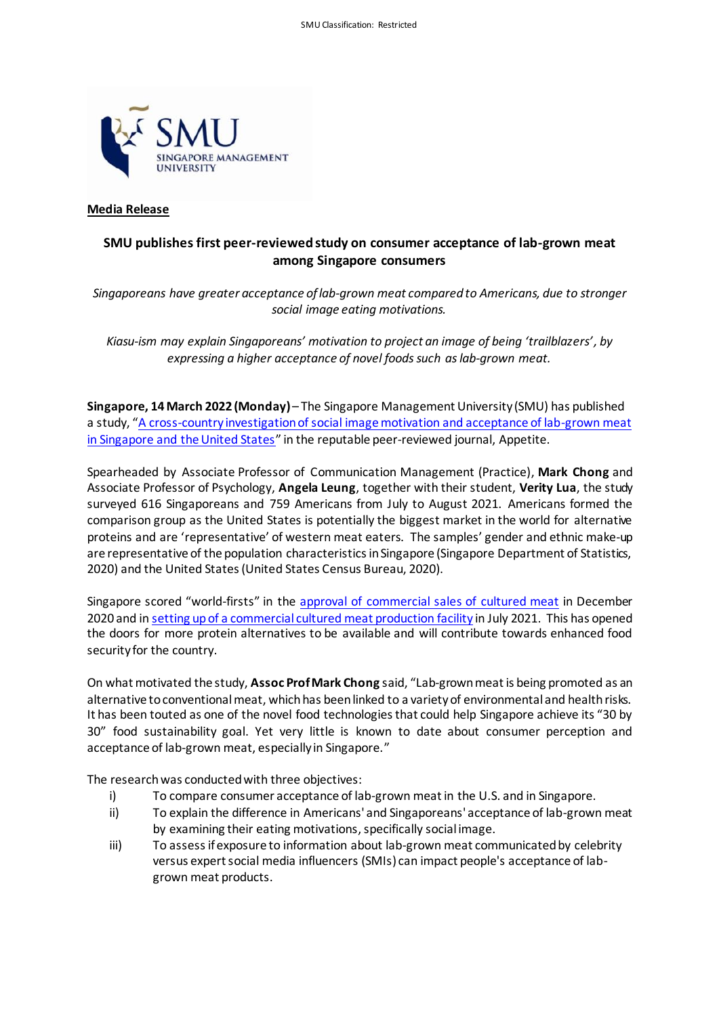

# **Media Release**

# **SMU publishes first peer-reviewed study on consumer acceptance of lab-grown meat among Singapore consumers**

*Singaporeans have greater acceptance of lab-grown meat compared to Americans, due to stronger social image eating motivations.*

*Kiasu-ism may explain Singaporeans' motivation to project an image of being 'trailblazers', by expressing a higher acceptance of novel foods such as lab-grown meat.*

**Singapore, 14March 2022 (Monday)**– The Singapore Management University (SMU) has published a study, "[A cross-country investigation of social image motivation and acceptance of lab-grown meat](https://www.sciencedirect.com/science/article/abs/pii/S0195666322000812)  [in Singapore and the United States](https://www.sciencedirect.com/science/article/abs/pii/S0195666322000812)" in the reputable peer-reviewed journal, Appetite.

Spearheaded by Associate Professor of Communication Management (Practice), **Mark Chong** and Associate Professor of Psychology, **Angela Leung**, together with their student, **Verity Lua**, the study surveyed 616 Singaporeans and 759 Americans from July to August 2021. Americans formed the comparison group as the United States is potentially the biggest market in the world for alternative proteins and are 'representative' of western meat eaters. The samples' gender and ethnic make-up are representative of the population characteristics in Singapore (Singapore Department of Statistics, 2020) and the United States (United States Census Bureau, 2020).

Singapore scored "world-firsts" in the [approval of commercial sales](https://www.straitstimes.com/singapore/environment/worlds-first-cell-cultured-chicken-likely-to-be-at-restaurants-in-singapore) of cultured meat in December 2020 and i[n setting up of a commercial cultured meat production facility](https://www.straitstimes.com/singapore/environment/worlds-first-commercial-cultured-meat-production-facility-operational-in) in July 2021. This has opened the doors for more protein alternatives to be available and will contribute towards enhanced food security for the country.

On what motivated the study, **Assoc Prof Mark Chong** said, "Lab-grown meat is being promoted as an alternative to conventional meat, which has been linked to a variety of environmental and health risks. It has been touted as one of the novel food technologies that could help Singapore achieve its "30 by 30" food sustainability goal. Yet very little is known to date about consumer perception and acceptance of lab-grown meat, especially in Singapore."

The research was conducted with three objectives:

- i) To compare consumer acceptance of lab-grown meat in the U.S. and in Singapore.
- ii) To explain the difference in Americans' and Singaporeans' acceptance of lab-grown meat by examining their eating motivations, specifically social image.
- iii) To assess if exposure to information about lab-grown meat communicated by celebrity versus expert social media influencers (SMIs) can impact people's acceptance of labgrown meat products.